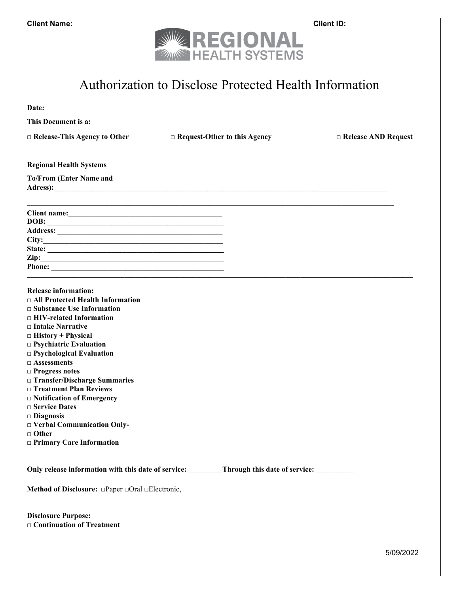|  | Client Name: |
|--|--------------|
|--|--------------|



## Authorization to Disclose Protected Health Information

| Date:                                                                                                                                                                                                                                                                                                                                                                                                                                                                                                                                          |                                                                                   |                            |
|------------------------------------------------------------------------------------------------------------------------------------------------------------------------------------------------------------------------------------------------------------------------------------------------------------------------------------------------------------------------------------------------------------------------------------------------------------------------------------------------------------------------------------------------|-----------------------------------------------------------------------------------|----------------------------|
| This Document is a:                                                                                                                                                                                                                                                                                                                                                                                                                                                                                                                            |                                                                                   |                            |
| $\Box$ Release-This Agency to Other                                                                                                                                                                                                                                                                                                                                                                                                                                                                                                            | $\Box$ Request-Other to this Agency                                               | $\Box$ Release AND Request |
| <b>Regional Health Systems</b>                                                                                                                                                                                                                                                                                                                                                                                                                                                                                                                 |                                                                                   |                            |
| <b>To/From (Enter Name and</b>                                                                                                                                                                                                                                                                                                                                                                                                                                                                                                                 |                                                                                   |                            |
| Client name: <u>contained</u>                                                                                                                                                                                                                                                                                                                                                                                                                                                                                                                  |                                                                                   |                            |
|                                                                                                                                                                                                                                                                                                                                                                                                                                                                                                                                                |                                                                                   |                            |
|                                                                                                                                                                                                                                                                                                                                                                                                                                                                                                                                                |                                                                                   |                            |
|                                                                                                                                                                                                                                                                                                                                                                                                                                                                                                                                                |                                                                                   |                            |
| $\mathbf{Zip:}$                                                                                                                                                                                                                                                                                                                                                                                                                                                                                                                                |                                                                                   |                            |
|                                                                                                                                                                                                                                                                                                                                                                                                                                                                                                                                                |                                                                                   |                            |
| <b>Release information:</b><br>□ All Protected Health Information<br>$\Box$ Substance Use Information<br>$\Box$ HIV-related Information<br>$\Box$ Intake Narrative<br>$\Box$ History + Physical<br>$\Box$ Psychiatric Evaluation<br>$\Box$ Psychological Evaluation<br>$\Box$ Assessments<br>$\Box$ Progress notes<br>□ Transfer/Discharge Summaries<br>□ Treatment Plan Reviews<br>$\Box$ Notification of Emergency<br>□ Service Dates<br>$\Box$ Diagnosis<br>□ Verbal Communication Only-<br>$\Box$ Other<br>$\Box$ Primary Care Information |                                                                                   |                            |
|                                                                                                                                                                                                                                                                                                                                                                                                                                                                                                                                                | Only release information with this date of service: Through this date of service: |                            |
| Method of Disclosure: $\Box$ Paper $\Box$ Oral $\Box$ Electronic,                                                                                                                                                                                                                                                                                                                                                                                                                                                                              |                                                                                   |                            |
| <b>Disclosure Purpose:</b><br>$\Box$ Continuation of Treatment                                                                                                                                                                                                                                                                                                                                                                                                                                                                                 |                                                                                   |                            |